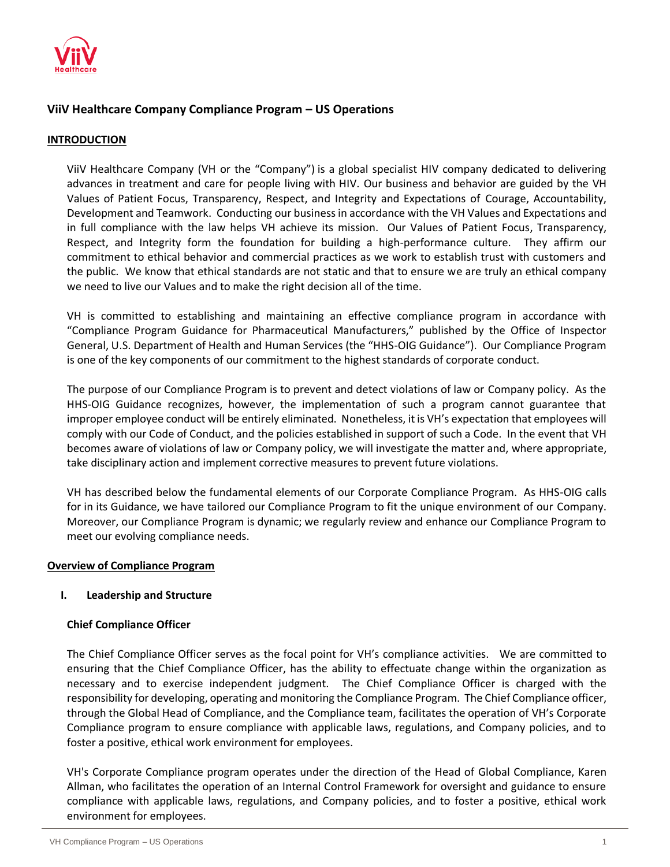

# **ViiV Healthcare Company Compliance Program – US Operations**

### **INTRODUCTION**

ViiV Healthcare Company (VH or the "Company") is a global specialist HIV company dedicated to delivering advances in treatment and care for people living with HIV. Our business and behavior are guided by the VH Values of Patient Focus, Transparency, Respect, and Integrity and Expectations of Courage, Accountability, Development and Teamwork. Conducting our business in accordance with the VH Values and Expectations and in full compliance with the law helps VH achieve its mission. Our Values of Patient Focus, Transparency, Respect, and Integrity form the foundation for building a high-performance culture. They affirm our commitment to ethical behavior and commercial practices as we work to establish trust with customers and the public. We know that ethical standards are not static and that to ensure we are truly an ethical company we need to live our Values and to make the right decision all of the time.

VH is committed to establishing and maintaining an effective compliance program in accordance with "Compliance Program Guidance for Pharmaceutical Manufacturers," published by the Office of Inspector General, U.S. Department of Health and Human Services (the "HHS-OIG Guidance"). Our Compliance Program is one of the key components of our commitment to the highest standards of corporate conduct.

The purpose of our Compliance Program is to prevent and detect violations of law or Company policy. As the HHS-OIG Guidance recognizes, however, the implementation of such a program cannot guarantee that improper employee conduct will be entirely eliminated. Nonetheless, it is VH's expectation that employees will comply with our Code of Conduct, and the policies established in support of such a Code. In the event that VH becomes aware of violations of law or Company policy, we will investigate the matter and, where appropriate, take disciplinary action and implement corrective measures to prevent future violations.

VH has described below the fundamental elements of our Corporate Compliance Program. As HHS-OIG calls for in its Guidance, we have tailored our Compliance Program to fit the unique environment of our Company. Moreover, our Compliance Program is dynamic; we regularly review and enhance our Compliance Program to meet our evolving compliance needs.

#### **Overview of Compliance Program**

# **I. Leadership and Structure**

### **Chief Compliance Officer**

The Chief Compliance Officer serves as the focal point for VH's compliance activities. We are committed to ensuring that the Chief Compliance Officer, has the ability to effectuate change within the organization as necessary and to exercise independent judgment. The Chief Compliance Officer is charged with the responsibility for developing, operating and monitoring the Compliance Program. The Chief Compliance officer, through the Global Head of Compliance, and the Compliance team, facilitates the operation of VH's Corporate Compliance program to ensure compliance with applicable laws, regulations, and Company policies, and to foster a positive, ethical work environment for employees.

VH's Corporate Compliance program operates under the direction of the Head of Global Compliance, Karen Allman, who facilitates the operation of an Internal Control Framework for oversight and guidance to ensure compliance with applicable laws, regulations, and Company policies, and to foster a positive, ethical work environment for employees.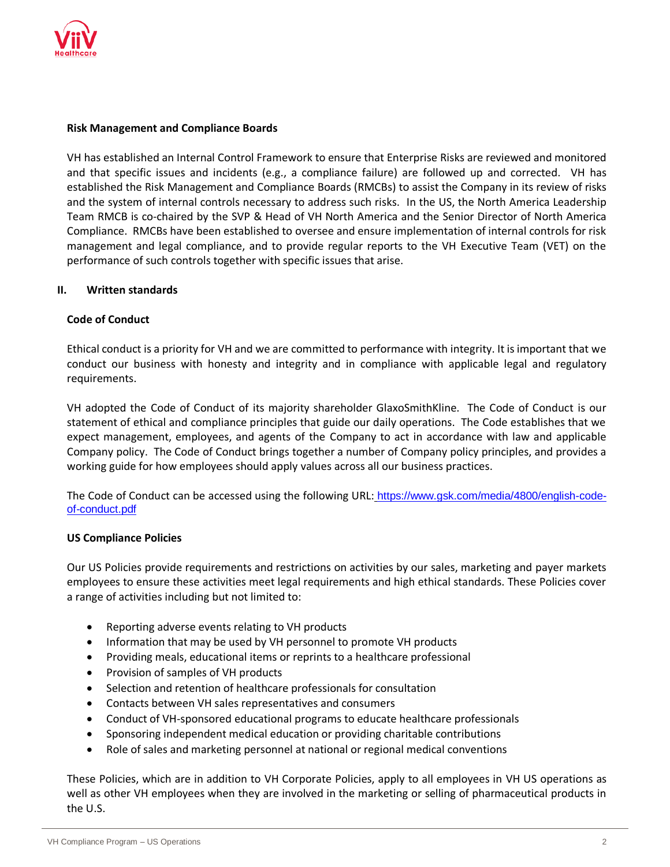

### **Risk Management and Compliance Boards**

VH has established an Internal Control Framework to ensure that Enterprise Risks are reviewed and monitored and that specific issues and incidents (e.g., a compliance failure) are followed up and corrected. VH has established the Risk Management and Compliance Boards (RMCBs) to assist the Company in its review of risks and the system of internal controls necessary to address such risks. In the US, the North America Leadership Team RMCB is co-chaired by the SVP & Head of VH North America and the Senior Director of North America Compliance. RMCBs have been established to oversee and ensure implementation of internal controls for risk management and legal compliance, and to provide regular reports to the VH Executive Team (VET) on the performance of such controls together with specific issues that arise.

### **II. Written standards**

### **Code of Conduct**

Ethical conduct is a priority for VH and we are committed to performance with integrity. It is important that we conduct our business with honesty and integrity and in compliance with applicable legal and regulatory requirements.

VH adopted the Code of Conduct of its majority shareholder GlaxoSmithKline. The Code of Conduct is our statement of ethical and compliance principles that guide our daily operations. The Code establishes that we expect management, employees, and agents of the Company to act in accordance with law and applicable Company policy. The Code of Conduct brings together a number of Company policy principles, and provides a working guide for how employees should apply values across all our business practices.

The Code of Conduct can be accessed using the following URL: https://www.gsk.com/media/4800/english-codeof-conduct.pdf

#### **US Compliance Policies**

Our US Policies provide requirements and restrictions on activities by our sales, marketing and payer markets employees to ensure these activities meet legal requirements and high ethical standards. These Policies cover a range of activities including but not limited to:

- Reporting adverse events relating to VH products
- Information that may be used by VH personnel to promote VH products
- Providing meals, educational items or reprints to a healthcare professional
- Provision of samples of VH products
- Selection and retention of healthcare professionals for consultation
- Contacts between VH sales representatives and consumers
- Conduct of VH-sponsored educational programs to educate healthcare professionals
- Sponsoring independent medical education or providing charitable contributions
- Role of sales and marketing personnel at national or regional medical conventions

These Policies, which are in addition to VH Corporate Policies, apply to all employees in VH US operations as well as other VH employees when they are involved in the marketing or selling of pharmaceutical products in the U.S.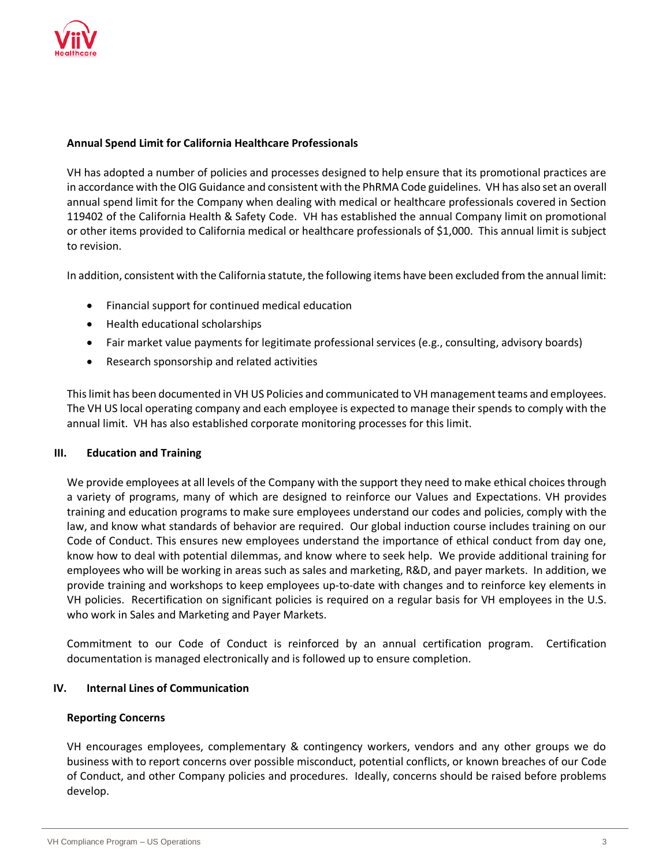

### **Annual Spend Limit for California Healthcare Professionals**

VH has adopted a number of policies and processes designed to help ensure that its promotional practices are in accordance with the OIG Guidance and consistent with the PhRMA Code guidelines. VH has also set an overall annual spend limit for the Company when dealing with medical or healthcare professionals covered in Section 119402 of the California Health & Safety Code. VH has established the annual Company limit on promotional or other items provided to California medical or healthcare professionals of \$1,000. This annual limit is subject to revision.

In addition, consistent with the California statute, the following items have been excluded from the annual limit:

- Financial support for continued medical education
- Health educational scholarships
- Fair market value payments for legitimate professional services (e.g., consulting, advisory boards)
- Research sponsorship and related activities

This limit has been documented in VH US Policies and communicated to VH management teams and employees. The VH US local operating company and each employee is expected to manage their spends to comply with the annual limit. VH has also established corporate monitoring processes for this limit.

#### **III. Education and Training**

We provide employees at all levels of the Company with the support they need to make ethical choices through a variety of programs, many of which are designed to reinforce our Values and Expectations. VH provides training and education programs to make sure employees understand our codes and policies, comply with the law, and know what standards of behavior are required. Our global induction course includes training on our Code of Conduct. This ensures new employees understand the importance of ethical conduct from day one, know how to deal with potential dilemmas, and know where to seek help. We provide additional training for employees who will be working in areas such as sales and marketing, R&D, and payer markets. In addition, we provide training and workshops to keep employees up-to-date with changes and to reinforce key elements in VH policies. Recertification on significant policies is required on a regular basis for VH employees in the U.S. who work in Sales and Marketing and Payer Markets.

Commitment to our Code of Conduct is reinforced by an annual certification program. Certification documentation is managed electronically and is followed up to ensure completion.

# **IV. Internal Lines of Communication**

### **Reporting Concerns**

VH encourages employees, complementary & contingency workers, vendors and any other groups we do business with to report concerns over possible misconduct, potential conflicts, or known breaches of our [Code](http://www.gsk.com/media/325203/code-of-conduct-policy-english.pdf)  [of Conduct,](http://www.gsk.com/media/325203/code-of-conduct-policy-english.pdf) and other Company policies and procedures. Ideally, concerns should be raised before problems develop.